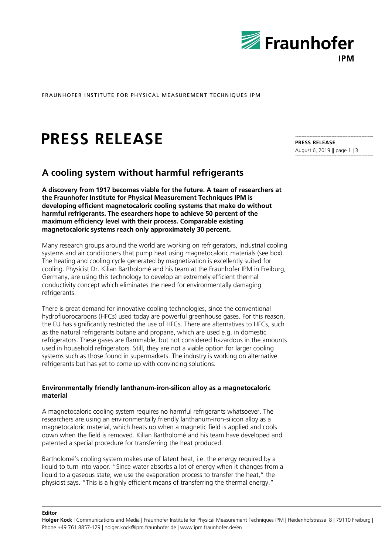

FRAUNHOFER INSTITUTE FOR PHYSICAL MEASUREMENT TECHNIQUES IPM

# **PRESS RELEASE**

# **A cooling system without harmful refrigerants**

**A discovery from 1917 becomes viable for the future. A team of researchers at the Fraunhofer Institute for Physical Measurement Techniques IPM is developing efficient magnetocaloric cooling systems that make do without harmful refrigerants. The esearchers hope to achieve 50 percent of the maximum efficiency level with their process. Comparable existing magnetocaloric systems reach only approximately 30 percent.** 

Many research groups around the world are working on refrigerators, industrial cooling systems and air conditioners that pump heat using magnetocaloric materials (see box). The heating and cooling cycle generated by magnetization is excellently suited for cooling. Physicist Dr. Kilian Bartholomé and his team at the Fraunhofer IPM in Freiburg, Germany, are using this technology to develop an extremely efficient thermal conductivity concept which eliminates the need for environmentally damaging refrigerants.

There is great demand for innovative cooling technologies, since the conventional hydrofluorocarbons (HFCs) used today are powerful greenhouse gases. For this reason, the EU has significantly restricted the use of HFCs. There are alternatives to HFCs, such as the natural refrigerants butane and propane, which are used e.g. in domestic refrigerators. These gases are flammable, but not considered hazardous in the amounts used in household refrigerators. Still, they are not a viable option for larger cooling systems such as those found in supermarkets. The industry is working on alternative refrigerants but has yet to come up with convincing solutions.

## **Environmentally friendly lanthanum-iron-silicon alloy as a magnetocaloric material**

A magnetocaloric cooling system requires no harmful refrigerants whatsoever. The researchers are using an environmentally friendly lanthanum-iron-silicon alloy as a magnetocaloric material, which heats up when a magnetic field is applied and cools down when the field is removed. Kilian Bartholomé and his team have developed and patented a special procedure for transferring the heat produced.

Bartholomé's cooling system makes use of latent heat, i.e. the energy required by a liquid to turn into vapor. "Since water absorbs a lot of energy when it changes from a liquid to a gaseous state, we use the evaporation process to transfer the heat," the physicist says. "This is a highly efficient means of transferring the thermal energy."

**Editor** 

**PRESS RELEASE**  August 6, 2019 || page 1 | 3

**Holger Kock** | Communications and Media | Fraunhofer Institute for Physical Measurement Techniques IPM | Heidenhofstrasse 8 | 79110 Freiburg | Phone +49 761 8857-129 | holger.kock@ipm.fraunhofer.de | www.ipm.fraunhofer.de/en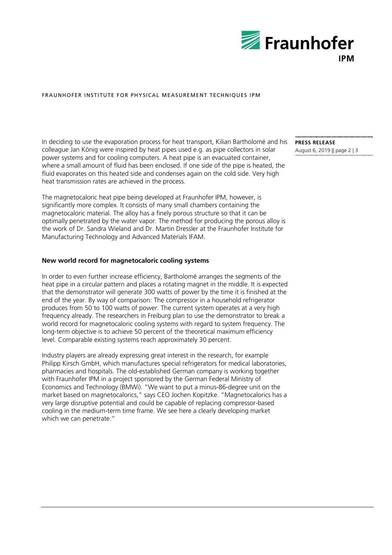

### FRAUNHOFER INSTITUTE FOR PHYSICAL MEASUREMENT TECHNIQUES IPM

In deciding to use the evaporation process for heat transport, Kilian Bartholomé and his colleague Jan König were inspired by heat pipes used e.g. as pipe collectors in solar power systems and for cooling computers. A heat pipe is an evacuated container, where a small amount of fluid has been enclosed. If one side of the pipe is heated, the fluid evaporates on this heated side and condenses again on the cold side. Very high heat transmission rates are achieved in the process.

The magnetocaloric heat pipe being developed at Fraunhofer IPM, however, is significantly more complex. It consists of many small chambers containing the magnetocaloric material. The alloy has a finely porous structure so that it can be optimally penetrated by the water vapor. The method for producing the porous alloy is the work of Dr. Sandra Wieland and Dr. Martin Dressler at the Fraunhofer Institute for Manufacturing Technology and Advanced Materials IFAM.

#### **New world record for magnetocaloric cooling systems**

In order to even further increase efficiency, Bartholomé arranges the segments of the heat pipe in a circular pattern and places a rotating magnet in the middle. It is expected that the demonstrator will generate 300 watts of power by the time it is finished at the end of the year. By way of comparison: The compressor in a household refrigerator produces from 50 to 100 watts of power. The current system operates at a very high frequency already. The researchers in Freiburg plan to use the demonstrator to break a world record for magnetocaloric cooling systems with regard to system frequency. The long-term objective is to achieve 50 percent of the theoretical maximum efficiency level. Comparable existing systems reach approximately 30 percent.

Industry players are already expressing great interest in the research, for example Philipp Kirsch GmbH, which manufactures special refrigerators for medical laboratories, pharmacies and hospitals. The old-established German company is working together with Fraunhofer IPM in a project sponsored by the German Federal Ministry of Economics and Technology (BMWi). "We want to put a minus-86-degree unit on the market based on magnetocalorics," says CEO Jochen Kopitzke. "Magnetocalorics has a very large disruptive potential and could be capable of replacing compressor-based cooling in the medium-term time frame. We see here a clearly developing market which we can penetrate."

**PRESS RELEASE**  August 6, 2019 || page 2 | 3